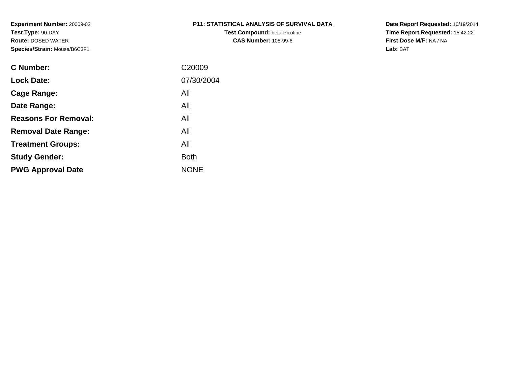# **P11: STATISTICAL ANALYSIS OF SURVIVAL DATA**

**Test Compound:** beta-Picoline**CAS Number:** 108-99-6

**Date Report Requested:** 10/19/2014 **Time Report Requested:** 15:42:22**First Dose M/F:** NA / NA**Lab:** BAT

| <b>C</b> Number:            | C <sub>20009</sub> |
|-----------------------------|--------------------|
| <b>Lock Date:</b>           | 07/30/2004         |
| Cage Range:                 | All                |
| Date Range:                 | All                |
| <b>Reasons For Removal:</b> | All                |
| <b>Removal Date Range:</b>  | All                |
| <b>Treatment Groups:</b>    | All                |
| <b>Study Gender:</b>        | <b>Both</b>        |
| <b>PWG Approval Date</b>    | <b>NONE</b>        |
|                             |                    |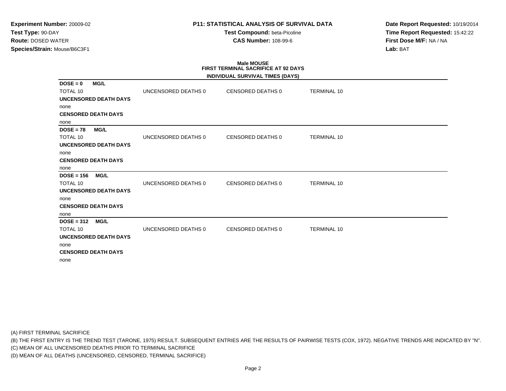## **P11: STATISTICAL ANALYSIS OF SURVIVAL DATA**

**Test Compound:** beta-Picoline**CAS Number:** 108-99-6

**Date Report Requested:** 10/19/2014**Time Report Requested:** 15:42:22**First Dose M/F:** NA / NA**Lab:** BAT

# **Male MOUSE FIRST TERMINAL SACRIFICE AT 92 DAYS**

|                 |                              |                     | INDIVIDUAL SURVIVAL TIMES (DAYS) |                    |
|-----------------|------------------------------|---------------------|----------------------------------|--------------------|
| $DOSE = 0$      | <b>MG/L</b>                  |                     |                                  |                    |
| <b>TOTAL 10</b> |                              | UNCENSORED DEATHS 0 | <b>CENSORED DEATHS 0</b>         | <b>TERMINAL 10</b> |
|                 | <b>UNCENSORED DEATH DAYS</b> |                     |                                  |                    |
| none            |                              |                     |                                  |                    |
|                 | <b>CENSORED DEATH DAYS</b>   |                     |                                  |                    |
| none            |                              |                     |                                  |                    |
| $DOSE = 78$     | <b>MG/L</b>                  |                     |                                  |                    |
| <b>TOTAL 10</b> |                              | UNCENSORED DEATHS 0 | CENSORED DEATHS 0                | <b>TERMINAL 10</b> |
|                 | <b>UNCENSORED DEATH DAYS</b> |                     |                                  |                    |
| none            |                              |                     |                                  |                    |
|                 | <b>CENSORED DEATH DAYS</b>   |                     |                                  |                    |
| none            |                              |                     |                                  |                    |
| $DOSE = 156$    | <b>MG/L</b>                  |                     |                                  |                    |
| <b>TOTAL 10</b> |                              | UNCENSORED DEATHS 0 | <b>CENSORED DEATHS 0</b>         | <b>TERMINAL 10</b> |
|                 | <b>UNCENSORED DEATH DAYS</b> |                     |                                  |                    |
| none            |                              |                     |                                  |                    |
|                 | <b>CENSORED DEATH DAYS</b>   |                     |                                  |                    |
| none            |                              |                     |                                  |                    |
| $DOSE = 312$    | <b>MG/L</b>                  |                     |                                  |                    |
| <b>TOTAL 10</b> |                              | UNCENSORED DEATHS 0 | <b>CENSORED DEATHS 0</b>         | <b>TERMINAL 10</b> |
|                 | <b>UNCENSORED DEATH DAYS</b> |                     |                                  |                    |
| none            |                              |                     |                                  |                    |
|                 | <b>CENSORED DEATH DAYS</b>   |                     |                                  |                    |
| none            |                              |                     |                                  |                    |

(A) FIRST TERMINAL SACRIFICE

(B) THE FIRST ENTRY IS THE TREND TEST (TARONE, 1975) RESULT. SUBSEQUENT ENTRIES ARE THE RESULTS OF PAIRWISE TESTS (COX, 1972). NEGATIVE TRENDS ARE INDICATED BY "N".

(C) MEAN OF ALL UNCENSORED DEATHS PRIOR TO TERMINAL SACRIFICE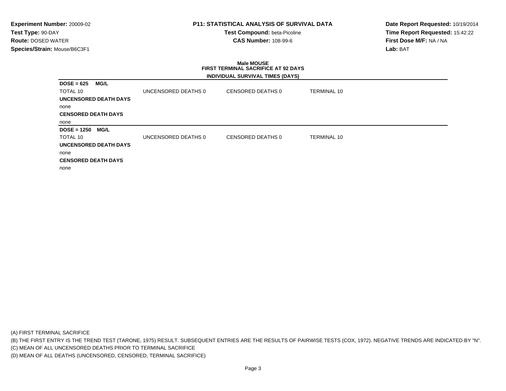## **P11: STATISTICAL ANALYSIS OF SURVIVAL DATA**

**Test Compound:** beta-Picoline**CAS Number:** 108-99-6

**Date Report Requested:** 10/19/2014**Time Report Requested:** 15:42:22**First Dose M/F:** NA / NA**Lab:** BAT

### **Male MOUSE FIRST TERMINAL SACRIFICE AT 92 DAYSINDIVIDUAL SURVIVAL TIMES (DAYS)**

| $DOSE = 625$                 | MG/L        |                     |                   |                    |
|------------------------------|-------------|---------------------|-------------------|--------------------|
| TOTAL 10                     |             | UNCENSORED DEATHS 0 | CENSORED DEATHS 0 | <b>TERMINAL 10</b> |
| <b>UNCENSORED DEATH DAYS</b> |             |                     |                   |                    |
| none                         |             |                     |                   |                    |
| <b>CENSORED DEATH DAYS</b>   |             |                     |                   |                    |
| none                         |             |                     |                   |                    |
|                              |             |                     |                   |                    |
| $DOSE = 1250$                | <b>MG/L</b> |                     |                   |                    |
| TOTAL 10                     |             | UNCENSORED DEATHS 0 | CENSORED DEATHS 0 | <b>TERMINAL 10</b> |
| UNCENSORED DEATH DAYS        |             |                     |                   |                    |
| none                         |             |                     |                   |                    |
| <b>CENSORED DEATH DAYS</b>   |             |                     |                   |                    |

(A) FIRST TERMINAL SACRIFICE

(B) THE FIRST ENTRY IS THE TREND TEST (TARONE, 1975) RESULT. SUBSEQUENT ENTRIES ARE THE RESULTS OF PAIRWISE TESTS (COX, 1972). NEGATIVE TRENDS ARE INDICATED BY "N".

(C) MEAN OF ALL UNCENSORED DEATHS PRIOR TO TERMINAL SACRIFICE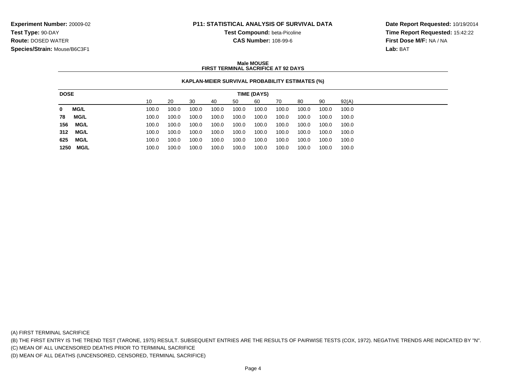## **P11: STATISTICAL ANALYSIS OF SURVIVAL DATA**

**Test Compound:** beta-Picoline

**CAS Number:** 108-99-6

**Date Report Requested:** 10/19/2014**Time Report Requested:** 15:42:22**First Dose M/F:** NA / NA**Lab:** BAT

### **Male MOUSEFIRST TERMINAL SACRIFICE AT 92 DAYS**

## **KAPLAN-MEIER SURVIVAL PROBABILITY ESTIMATES (%)**

| <b>DOSE</b> |             |       |       |       |       |       | <b>TIME (DAYS)</b> |       |       |       |       |
|-------------|-------------|-------|-------|-------|-------|-------|--------------------|-------|-------|-------|-------|
|             |             | 10    | 20    | 30    | 40    | 50    | 60                 | 70    | 80    | 90    | 92(A) |
| 0           | <b>MG/L</b> | 100.0 | 100.0 | 100.0 | 100.0 | 100.0 | 100.0              | 100.0 | 100.0 | 100.0 | 100.0 |
| 78          | <b>MG/L</b> | 100.0 | 100.0 | 100.0 | 100.0 | 100.0 | 100.0              | 100.0 | 100.0 | 100.0 | 100.0 |
| 156         | MG/L        | 100.0 | 100.0 | 100.0 | 100.0 | 100.0 | 100.0              | 100.0 | 100.0 | 100.0 | 100.0 |
| 312         | <b>MG/L</b> | 100.0 | 100.0 | 100.0 | 100.0 | 100.0 | 100.0              | 100.0 | 100.0 | 100.0 | 100.0 |
| 625         | <b>MG/L</b> | 100.0 | 100.0 | 100.0 | 100.0 | 100.0 | 100.0              | 100.0 | 100.0 | 100.0 | 100.0 |
| 1250        | MG/L        | 100.0 | 100.0 | 100.0 | 100.0 | 100.0 | 100.0              | 100.0 | 100.0 | 100.0 | 100.0 |

(A) FIRST TERMINAL SACRIFICE

(B) THE FIRST ENTRY IS THE TREND TEST (TARONE, 1975) RESULT. SUBSEQUENT ENTRIES ARE THE RESULTS OF PAIRWISE TESTS (COX, 1972). NEGATIVE TRENDS ARE INDICATED BY "N".

(C) MEAN OF ALL UNCENSORED DEATHS PRIOR TO TERMINAL SACRIFICE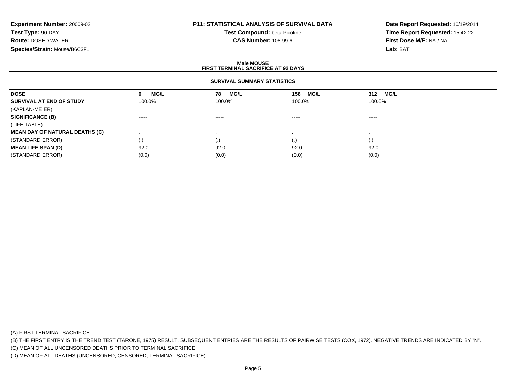# **P11: STATISTICAL ANALYSIS OF SURVIVAL DATA**

**Test Compound:** beta-Picoline**CAS Number:** 108-99-6

**Date Report Requested:** 10/19/2014**Time Report Requested:** 15:42:22**First Dose M/F:** NA / NA**Lab:** BAT

### **Male MOUSEFIRST TERMINAL SACRIFICE AT 92 DAYS**

## **SURVIVAL SUMMARY STATISTICS**

| <b>DOSE</b>                           | MG/L<br>0          | MG/L<br>78 | MG/L<br>156 | <b>MG/L</b><br>312 |  |
|---------------------------------------|--------------------|------------|-------------|--------------------|--|
| SURVIVAL AT END OF STUDY              | 100.0%             | 100.0%     | 100.0%      | 100.0%             |  |
| (KAPLAN-MEIER)                        |                    |            |             |                    |  |
| <b>SIGNIFICANCE (B)</b>               | $\cdots$           | $\cdots$   | $\cdots$    | $\cdots$           |  |
| (LIFE TABLE)                          |                    |            |             |                    |  |
| <b>MEAN DAY OF NATURAL DEATHS (C)</b> |                    |            |             |                    |  |
| (STANDARD ERROR)                      | $\left( . \right)$ | (۰۱        | $\cdot$     | $\cdot$            |  |
| <b>MEAN LIFE SPAN (D)</b>             | 92.0               | 92.0       | 92.0        | 92.0               |  |
| (STANDARD ERROR)                      | (0.0)              | (0.0)      | (0.0)       | (0.0)              |  |

(A) FIRST TERMINAL SACRIFICE

(B) THE FIRST ENTRY IS THE TREND TEST (TARONE, 1975) RESULT. SUBSEQUENT ENTRIES ARE THE RESULTS OF PAIRWISE TESTS (COX, 1972). NEGATIVE TRENDS ARE INDICATED BY "N".

(C) MEAN OF ALL UNCENSORED DEATHS PRIOR TO TERMINAL SACRIFICE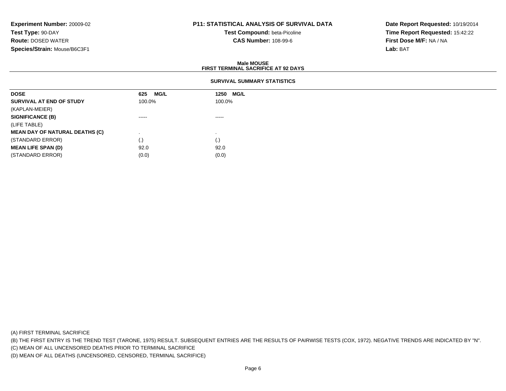# **P11: STATISTICAL ANALYSIS OF SURVIVAL DATA**

**Test Compound:** beta-Picoline**CAS Number:** 108-99-6

**Date Report Requested:** 10/19/2014**Time Report Requested:** 15:42:22**First Dose M/F:** NA / NA**Lab:** BAT

### **Male MOUSEFIRST TERMINAL SACRIFICE AT 92 DAYS**

## **SURVIVAL SUMMARY STATISTICS**

| <b>DOSE</b>                           | MG/L<br>625            | 1250 MG/L              |  |
|---------------------------------------|------------------------|------------------------|--|
| SURVIVAL AT END OF STUDY              | 100.0%                 | 100.0%                 |  |
| (KAPLAN-MEIER)                        |                        |                        |  |
| <b>SIGNIFICANCE (B)</b>               | $\cdots \cdots \cdots$ | $\cdots \cdots \cdots$ |  |
| (LIFE TABLE)                          |                        |                        |  |
| <b>MEAN DAY OF NATURAL DEATHS (C)</b> |                        |                        |  |
| (STANDARD ERROR)                      | (.)                    | (.)                    |  |
| <b>MEAN LIFE SPAN (D)</b>             | 92.0                   | 92.0                   |  |
| (STANDARD ERROR)                      | (0.0)                  | (0.0)                  |  |

(A) FIRST TERMINAL SACRIFICE

(B) THE FIRST ENTRY IS THE TREND TEST (TARONE, 1975) RESULT. SUBSEQUENT ENTRIES ARE THE RESULTS OF PAIRWISE TESTS (COX, 1972). NEGATIVE TRENDS ARE INDICATED BY "N".

(C) MEAN OF ALL UNCENSORED DEATHS PRIOR TO TERMINAL SACRIFICE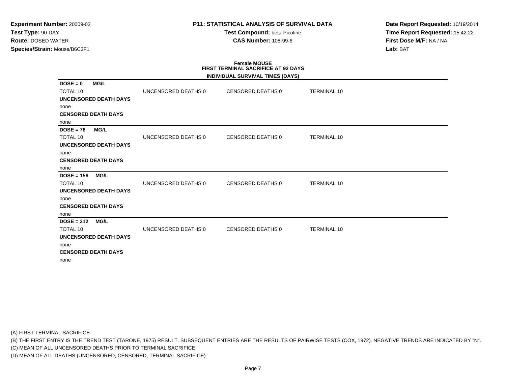## **P11: STATISTICAL ANALYSIS OF SURVIVAL DATA**

**Test Compound:** beta-Picoline**CAS Number:** 108-99-6

**Date Report Requested:** 10/19/2014**Time Report Requested:** 15:42:22**First Dose M/F:** NA / NA**Lab:** BAT

# **Female MOUSE FIRST TERMINAL SACRIFICE AT 92 DAYS**

|                 |                              |                     | INDIVIDUAL SURVIVAL TIMES (DAYS) |                    |
|-----------------|------------------------------|---------------------|----------------------------------|--------------------|
| $DOSE = 0$      | <b>MG/L</b>                  |                     |                                  |                    |
| <b>TOTAL 10</b> |                              | UNCENSORED DEATHS 0 | CENSORED DEATHS 0                | <b>TERMINAL 10</b> |
|                 | <b>UNCENSORED DEATH DAYS</b> |                     |                                  |                    |
| none            |                              |                     |                                  |                    |
|                 | <b>CENSORED DEATH DAYS</b>   |                     |                                  |                    |
| none            |                              |                     |                                  |                    |
| $DOSE = 78$     | <b>MG/L</b>                  |                     |                                  |                    |
| <b>TOTAL 10</b> |                              | UNCENSORED DEATHS 0 | CENSORED DEATHS 0                | <b>TERMINAL 10</b> |
|                 | <b>UNCENSORED DEATH DAYS</b> |                     |                                  |                    |
| none            |                              |                     |                                  |                    |
|                 | <b>CENSORED DEATH DAYS</b>   |                     |                                  |                    |
| none            |                              |                     |                                  |                    |
| $DOSE = 156$    | <b>MG/L</b>                  |                     |                                  |                    |
| <b>TOTAL 10</b> |                              | UNCENSORED DEATHS 0 | CENSORED DEATHS 0                | <b>TERMINAL 10</b> |
|                 | <b>UNCENSORED DEATH DAYS</b> |                     |                                  |                    |
| none            |                              |                     |                                  |                    |
|                 | <b>CENSORED DEATH DAYS</b>   |                     |                                  |                    |
| none            |                              |                     |                                  |                    |
| $DOSE = 312$    | <b>MG/L</b>                  |                     |                                  |                    |
| <b>TOTAL 10</b> |                              | UNCENSORED DEATHS 0 | CENSORED DEATHS 0                | <b>TERMINAL 10</b> |
|                 | <b>UNCENSORED DEATH DAYS</b> |                     |                                  |                    |
| none            |                              |                     |                                  |                    |
|                 | <b>CENSORED DEATH DAYS</b>   |                     |                                  |                    |
| none            |                              |                     |                                  |                    |

(A) FIRST TERMINAL SACRIFICE

(B) THE FIRST ENTRY IS THE TREND TEST (TARONE, 1975) RESULT. SUBSEQUENT ENTRIES ARE THE RESULTS OF PAIRWISE TESTS (COX, 1972). NEGATIVE TRENDS ARE INDICATED BY "N".

(C) MEAN OF ALL UNCENSORED DEATHS PRIOR TO TERMINAL SACRIFICE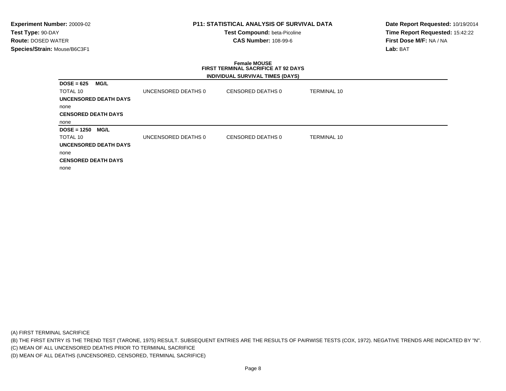## **P11: STATISTICAL ANALYSIS OF SURVIVAL DATA**

**Test Compound:** beta-Picoline**CAS Number:** 108-99-6

**Date Report Requested:** 10/19/2014**Time Report Requested:** 15:42:22**First Dose M/F:** NA / NA**Lab:** BAT

### **Female MOUSE FIRST TERMINAL SACRIFICE AT 92 DAYSINDIVIDUAL SURVIVAL TIMES (DAYS)**

| $DOSE = 625$               | MG/L        |                     |                   |                    |
|----------------------------|-------------|---------------------|-------------------|--------------------|
| TOTAL 10                   |             | UNCENSORED DEATHS 0 | CENSORED DEATHS 0 | <b>TERMINAL 10</b> |
| UNCENSORED DEATH DAYS      |             |                     |                   |                    |
| none                       |             |                     |                   |                    |
| <b>CENSORED DEATH DAYS</b> |             |                     |                   |                    |
| none                       |             |                     |                   |                    |
| $DOSE = 1250$              | <b>MG/L</b> |                     |                   |                    |
| TOTAL 10                   |             | UNCENSORED DEATHS 0 | CENSORED DEATHS 0 | <b>TERMINAL 10</b> |
| UNCENSORED DEATH DAYS      |             |                     |                   |                    |
| none                       |             |                     |                   |                    |
| <b>CENSORED DEATH DAYS</b> |             |                     |                   |                    |
| none                       |             |                     |                   |                    |

(A) FIRST TERMINAL SACRIFICE

(B) THE FIRST ENTRY IS THE TREND TEST (TARONE, 1975) RESULT. SUBSEQUENT ENTRIES ARE THE RESULTS OF PAIRWISE TESTS (COX, 1972). NEGATIVE TRENDS ARE INDICATED BY "N".

(C) MEAN OF ALL UNCENSORED DEATHS PRIOR TO TERMINAL SACRIFICE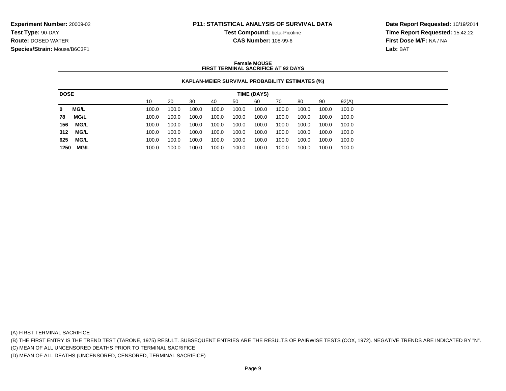## **P11: STATISTICAL ANALYSIS OF SURVIVAL DATA**

**Test Compound:** beta-Picoline

**CAS Number:** 108-99-6

**Date Report Requested:** 10/19/2014**Time Report Requested:** 15:42:22**First Dose M/F:** NA / NA**Lab:** BAT

### **Female MOUSEFIRST TERMINAL SACRIFICE AT 92 DAYS**

## **KAPLAN-MEIER SURVIVAL PROBABILITY ESTIMATES (%)**

| <b>DOSE</b> |             |       |       |       |       |       | TIME (DAYS) |       |       |       |       |
|-------------|-------------|-------|-------|-------|-------|-------|-------------|-------|-------|-------|-------|
|             |             | 10    | 20    | 30    | 40    | 50    | 60          | 70    | 80    | 90    | 92(A) |
| 0           | <b>MG/L</b> | 100.0 | 100.0 | 100.0 | 100.0 | 100.0 | 100.0       | 100.0 | 100.0 | 100.0 | 100.0 |
| 78          | MG/L        | 100.0 | 100.0 | 100.0 | 100.0 | 100.0 | 100.0       | 100.0 | 100.0 | 100.0 | 100.0 |
| 156         | MG/L        | 100.0 | 100.0 | 100.0 | 100.0 | 100.0 | 100.0       | 100.0 | 100.0 | 100.0 | 100.0 |
| 312         | MG/L        | 100.0 | 100.0 | 100.0 | 100.0 | 100.0 | 100.0       | 100.0 | 100.0 | 100.0 | 100.0 |
| 625         | MG/L        | 100.0 | 100.0 | 100.0 | 100.0 | 100.0 | 100.0       | 100.0 | 100.0 | 100.0 | 100.0 |
| 1250        | MG/L        | 100.0 | 100.0 | 100.0 | 100.0 | 100.0 | 100.0       | 100.0 | 100.0 | 100.0 | 100.0 |

(A) FIRST TERMINAL SACRIFICE

(B) THE FIRST ENTRY IS THE TREND TEST (TARONE, 1975) RESULT. SUBSEQUENT ENTRIES ARE THE RESULTS OF PAIRWISE TESTS (COX, 1972). NEGATIVE TRENDS ARE INDICATED BY "N".

(C) MEAN OF ALL UNCENSORED DEATHS PRIOR TO TERMINAL SACRIFICE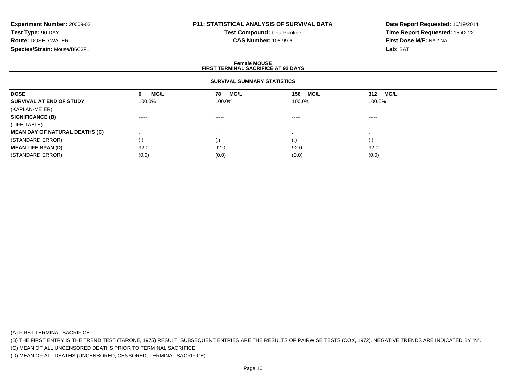# **P11: STATISTICAL ANALYSIS OF SURVIVAL DATA**

**Test Compound:** beta-Picoline**CAS Number:** 108-99-6

**Date Report Requested:** 10/19/2014**Time Report Requested:** 15:42:22**First Dose M/F:** NA / NA**Lab:** BAT

### **Female MOUSEFIRST TERMINAL SACRIFICE AT 92 DAYS**

## **SURVIVAL SUMMARY STATISTICS**

| <b>DOSE</b>                           | <b>MG/L</b><br>0                                                                                                                                                                                                                                                                                                                                                                                                                                                                       | <b>MG/L</b><br>78      | <b>MG/L</b><br>156                                                                                                                                                                                                                                                                                                                                                                                                                                                                     | MG/L<br>312                                                                                                                                                                                                                                                                                                                                                                                                                                                                            |  |
|---------------------------------------|----------------------------------------------------------------------------------------------------------------------------------------------------------------------------------------------------------------------------------------------------------------------------------------------------------------------------------------------------------------------------------------------------------------------------------------------------------------------------------------|------------------------|----------------------------------------------------------------------------------------------------------------------------------------------------------------------------------------------------------------------------------------------------------------------------------------------------------------------------------------------------------------------------------------------------------------------------------------------------------------------------------------|----------------------------------------------------------------------------------------------------------------------------------------------------------------------------------------------------------------------------------------------------------------------------------------------------------------------------------------------------------------------------------------------------------------------------------------------------------------------------------------|--|
| SURVIVAL AT END OF STUDY              | 100.0%                                                                                                                                                                                                                                                                                                                                                                                                                                                                                 | 100.0%                 | 100.0%                                                                                                                                                                                                                                                                                                                                                                                                                                                                                 | 100.0%                                                                                                                                                                                                                                                                                                                                                                                                                                                                                 |  |
| (KAPLAN-MEIER)                        |                                                                                                                                                                                                                                                                                                                                                                                                                                                                                        |                        |                                                                                                                                                                                                                                                                                                                                                                                                                                                                                        |                                                                                                                                                                                                                                                                                                                                                                                                                                                                                        |  |
| <b>SIGNIFICANCE (B)</b>               | $\begin{array}{cccccccccccccc} \multicolumn{2}{c}{} & \multicolumn{2}{c}{} & \multicolumn{2}{c}{} & \multicolumn{2}{c}{} & \multicolumn{2}{c}{} & \multicolumn{2}{c}{} & \multicolumn{2}{c}{} & \multicolumn{2}{c}{} & \multicolumn{2}{c}{} & \multicolumn{2}{c}{} & \multicolumn{2}{c}{} & \multicolumn{2}{c}{} & \multicolumn{2}{c}{} & \multicolumn{2}{c}{} & \multicolumn{2}{c}{} & \multicolumn{2}{c}{} & \multicolumn{2}{c}{} & \multicolumn{2}{c}{} & \multicolumn{2}{c}{} & \$ | $\cdots \cdots \cdots$ | $\begin{array}{cccccccccccccc} \multicolumn{2}{c}{} & \multicolumn{2}{c}{} & \multicolumn{2}{c}{} & \multicolumn{2}{c}{} & \multicolumn{2}{c}{} & \multicolumn{2}{c}{} & \multicolumn{2}{c}{} & \multicolumn{2}{c}{} & \multicolumn{2}{c}{} & \multicolumn{2}{c}{} & \multicolumn{2}{c}{} & \multicolumn{2}{c}{} & \multicolumn{2}{c}{} & \multicolumn{2}{c}{} & \multicolumn{2}{c}{} & \multicolumn{2}{c}{} & \multicolumn{2}{c}{} & \multicolumn{2}{c}{} & \multicolumn{2}{c}{} & \$ | $\begin{array}{cccccccccccccc} \multicolumn{2}{c}{} & \multicolumn{2}{c}{} & \multicolumn{2}{c}{} & \multicolumn{2}{c}{} & \multicolumn{2}{c}{} & \multicolumn{2}{c}{} & \multicolumn{2}{c}{} & \multicolumn{2}{c}{} & \multicolumn{2}{c}{} & \multicolumn{2}{c}{} & \multicolumn{2}{c}{} & \multicolumn{2}{c}{} & \multicolumn{2}{c}{} & \multicolumn{2}{c}{} & \multicolumn{2}{c}{} & \multicolumn{2}{c}{} & \multicolumn{2}{c}{} & \multicolumn{2}{c}{} & \multicolumn{2}{c}{} & \$ |  |
| (LIFE TABLE)                          |                                                                                                                                                                                                                                                                                                                                                                                                                                                                                        |                        |                                                                                                                                                                                                                                                                                                                                                                                                                                                                                        |                                                                                                                                                                                                                                                                                                                                                                                                                                                                                        |  |
| <b>MEAN DAY OF NATURAL DEATHS (C)</b> |                                                                                                                                                                                                                                                                                                                                                                                                                                                                                        |                        |                                                                                                                                                                                                                                                                                                                                                                                                                                                                                        |                                                                                                                                                                                                                                                                                                                                                                                                                                                                                        |  |
| (STANDARD ERROR)                      | $\left( .\right)$                                                                                                                                                                                                                                                                                                                                                                                                                                                                      | (.)                    | (.)                                                                                                                                                                                                                                                                                                                                                                                                                                                                                    | $\left( . \right)$                                                                                                                                                                                                                                                                                                                                                                                                                                                                     |  |
| <b>MEAN LIFE SPAN (D)</b>             | 92.0                                                                                                                                                                                                                                                                                                                                                                                                                                                                                   | 92.0                   | 92.0                                                                                                                                                                                                                                                                                                                                                                                                                                                                                   | 92.0                                                                                                                                                                                                                                                                                                                                                                                                                                                                                   |  |
| (STANDARD ERROR)                      | (0.0)                                                                                                                                                                                                                                                                                                                                                                                                                                                                                  | (0.0)                  | (0.0)                                                                                                                                                                                                                                                                                                                                                                                                                                                                                  | (0.0)                                                                                                                                                                                                                                                                                                                                                                                                                                                                                  |  |

(A) FIRST TERMINAL SACRIFICE

(B) THE FIRST ENTRY IS THE TREND TEST (TARONE, 1975) RESULT. SUBSEQUENT ENTRIES ARE THE RESULTS OF PAIRWISE TESTS (COX, 1972). NEGATIVE TRENDS ARE INDICATED BY "N".

(C) MEAN OF ALL UNCENSORED DEATHS PRIOR TO TERMINAL SACRIFICE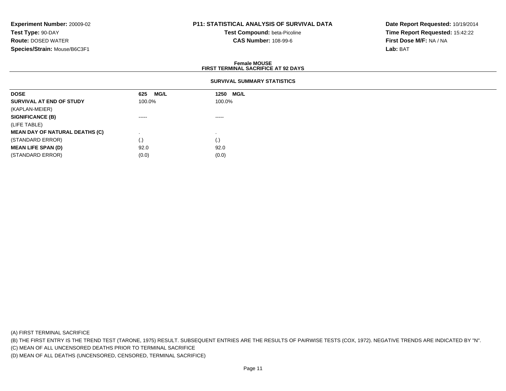# **P11: STATISTICAL ANALYSIS OF SURVIVAL DATA**

**Test Compound:** beta-Picoline**CAS Number:** 108-99-6

**Date Report Requested:** 10/19/2014**Time Report Requested:** 15:42:22**First Dose M/F:** NA / NA**Lab:** BAT

### **Female MOUSEFIRST TERMINAL SACRIFICE AT 92 DAYS**

## **SURVIVAL SUMMARY STATISTICS**

| <b>DOSE</b>                           | MG/L<br>625 | MG/L<br>1250       |
|---------------------------------------|-------------|--------------------|
| SURVIVAL AT END OF STUDY              | 100.0%      | 100.0%             |
| (KAPLAN-MEIER)                        |             |                    |
| <b>SIGNIFICANCE (B)</b>               | -----       | $\cdots$           |
| (LIFE TABLE)                          |             |                    |
| <b>MEAN DAY OF NATURAL DEATHS (C)</b> |             |                    |
| (STANDARD ERROR)                      | (.)         | $\left( . \right)$ |
| <b>MEAN LIFE SPAN (D)</b>             | 92.0        | 92.0               |
| (STANDARD ERROR)                      | (0.0)       | (0.0)              |

(A) FIRST TERMINAL SACRIFICE

(B) THE FIRST ENTRY IS THE TREND TEST (TARONE, 1975) RESULT. SUBSEQUENT ENTRIES ARE THE RESULTS OF PAIRWISE TESTS (COX, 1972). NEGATIVE TRENDS ARE INDICATED BY "N".

(C) MEAN OF ALL UNCENSORED DEATHS PRIOR TO TERMINAL SACRIFICE